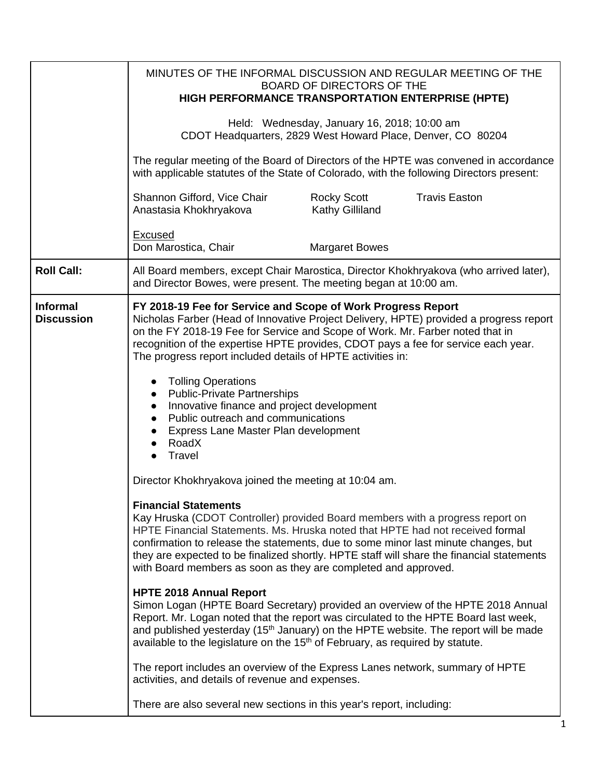|                                      | MINUTES OF THE INFORMAL DISCUSSION AND REGULAR MEETING OF THE<br>BOARD OF DIRECTORS OF THE<br>HIGH PERFORMANCE TRANSPORTATION ENTERPRISE (HPTE)                                                                                                                                                                                                                                                                                                                                                                                                                                                                                                                                                                                                                                                                                                                                                                                                                                                                                                     |
|--------------------------------------|-----------------------------------------------------------------------------------------------------------------------------------------------------------------------------------------------------------------------------------------------------------------------------------------------------------------------------------------------------------------------------------------------------------------------------------------------------------------------------------------------------------------------------------------------------------------------------------------------------------------------------------------------------------------------------------------------------------------------------------------------------------------------------------------------------------------------------------------------------------------------------------------------------------------------------------------------------------------------------------------------------------------------------------------------------|
|                                      | Held: Wednesday, January 16, 2018; 10:00 am<br>CDOT Headquarters, 2829 West Howard Place, Denver, CO 80204                                                                                                                                                                                                                                                                                                                                                                                                                                                                                                                                                                                                                                                                                                                                                                                                                                                                                                                                          |
|                                      | The regular meeting of the Board of Directors of the HPTE was convened in accordance<br>with applicable statutes of the State of Colorado, with the following Directors present:                                                                                                                                                                                                                                                                                                                                                                                                                                                                                                                                                                                                                                                                                                                                                                                                                                                                    |
|                                      | <b>Travis Easton</b><br>Shannon Gifford, Vice Chair<br><b>Rocky Scott</b><br>Kathy Gilliland<br>Anastasia Khokhryakova                                                                                                                                                                                                                                                                                                                                                                                                                                                                                                                                                                                                                                                                                                                                                                                                                                                                                                                              |
|                                      | Excused<br>Don Marostica, Chair<br><b>Margaret Bowes</b>                                                                                                                                                                                                                                                                                                                                                                                                                                                                                                                                                                                                                                                                                                                                                                                                                                                                                                                                                                                            |
| <b>Roll Call:</b>                    | All Board members, except Chair Marostica, Director Khokhryakova (who arrived later),<br>and Director Bowes, were present. The meeting began at 10:00 am.                                                                                                                                                                                                                                                                                                                                                                                                                                                                                                                                                                                                                                                                                                                                                                                                                                                                                           |
| <b>Informal</b><br><b>Discussion</b> | FY 2018-19 Fee for Service and Scope of Work Progress Report<br>Nicholas Farber (Head of Innovative Project Delivery, HPTE) provided a progress report<br>on the FY 2018-19 Fee for Service and Scope of Work. Mr. Farber noted that in<br>recognition of the expertise HPTE provides, CDOT pays a fee for service each year.<br>The progress report included details of HPTE activities in:<br><b>Tolling Operations</b><br>• Public-Private Partnerships<br>Innovative finance and project development<br>$\bullet$<br>Public outreach and communications<br>Express Lane Master Plan development<br>RoadX<br>Travel                                                                                                                                                                                                                                                                                                                                                                                                                              |
|                                      | Director Khokhryakova joined the meeting at 10:04 am.<br><b>Financial Statements</b><br>Kay Hruska (CDOT Controller) provided Board members with a progress report on<br>HPTE Financial Statements. Ms. Hruska noted that HPTE had not received formal<br>confirmation to release the statements, due to some minor last minute changes, but<br>they are expected to be finalized shortly. HPTE staff will share the financial statements<br>with Board members as soon as they are completed and approved.<br><b>HPTE 2018 Annual Report</b><br>Simon Logan (HPTE Board Secretary) provided an overview of the HPTE 2018 Annual<br>Report. Mr. Logan noted that the report was circulated to the HPTE Board last week,<br>and published yesterday ( $15th$ January) on the HPTE website. The report will be made<br>available to the legislature on the 15 <sup>th</sup> of February, as required by statute.<br>The report includes an overview of the Express Lanes network, summary of HPTE<br>activities, and details of revenue and expenses. |
|                                      | There are also several new sections in this year's report, including:                                                                                                                                                                                                                                                                                                                                                                                                                                                                                                                                                                                                                                                                                                                                                                                                                                                                                                                                                                               |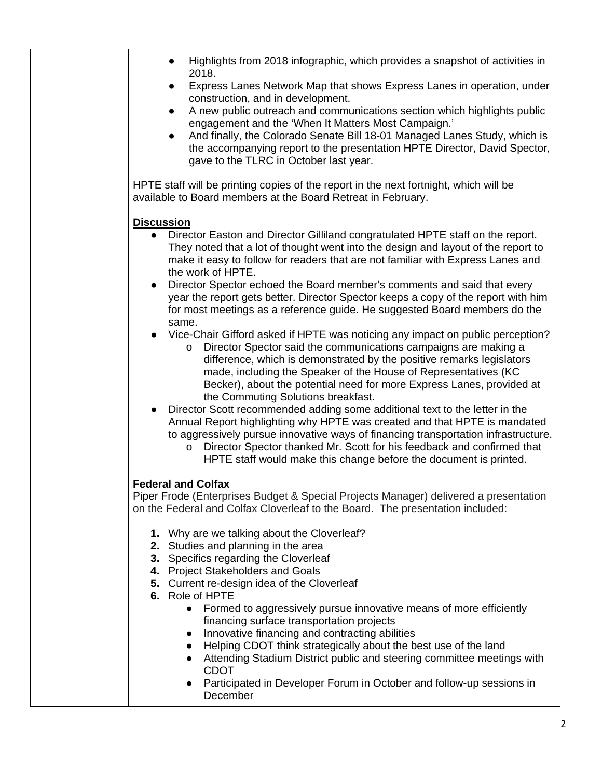| Highlights from 2018 infographic, which provides a snapshot of activities in<br>2018.                                                                                                                                                                                                                                                                                                                    |
|----------------------------------------------------------------------------------------------------------------------------------------------------------------------------------------------------------------------------------------------------------------------------------------------------------------------------------------------------------------------------------------------------------|
| Express Lanes Network Map that shows Express Lanes in operation, under<br>$\bullet$<br>construction, and in development.                                                                                                                                                                                                                                                                                 |
| A new public outreach and communications section which highlights public<br>$\bullet$<br>engagement and the 'When It Matters Most Campaign.'                                                                                                                                                                                                                                                             |
| And finally, the Colorado Senate Bill 18-01 Managed Lanes Study, which is<br>$\bullet$<br>the accompanying report to the presentation HPTE Director, David Spector,<br>gave to the TLRC in October last year.                                                                                                                                                                                            |
|                                                                                                                                                                                                                                                                                                                                                                                                          |
| HPTE staff will be printing copies of the report in the next fortnight, which will be<br>available to Board members at the Board Retreat in February.                                                                                                                                                                                                                                                    |
| <b>Discussion</b>                                                                                                                                                                                                                                                                                                                                                                                        |
| • Director Easton and Director Gilliland congratulated HPTE staff on the report.<br>They noted that a lot of thought went into the design and layout of the report to<br>make it easy to follow for readers that are not familiar with Express Lanes and<br>the work of HPTE.                                                                                                                            |
| Director Spector echoed the Board member's comments and said that every<br>$\bullet$<br>year the report gets better. Director Spector keeps a copy of the report with him<br>for most meetings as a reference guide. He suggested Board members do the                                                                                                                                                   |
| same.<br>Vice-Chair Gifford asked if HPTE was noticing any impact on public perception?<br>Director Spector said the communications campaigns are making a<br>$\circ$<br>difference, which is demonstrated by the positive remarks legislators<br>made, including the Speaker of the House of Representatives (KC                                                                                        |
| Becker), about the potential need for more Express Lanes, provided at<br>the Commuting Solutions breakfast.                                                                                                                                                                                                                                                                                              |
| Director Scott recommended adding some additional text to the letter in the<br>Annual Report highlighting why HPTE was created and that HPTE is mandated<br>to aggressively pursue innovative ways of financing transportation infrastructure.<br>Director Spector thanked Mr. Scott for his feedback and confirmed that<br>$\circ$<br>HPTE staff would make this change before the document is printed. |
| <b>Federal and Colfax</b>                                                                                                                                                                                                                                                                                                                                                                                |
| Piper Frode (Enterprises Budget & Special Projects Manager) delivered a presentation<br>on the Federal and Colfax Cloverleaf to the Board. The presentation included:                                                                                                                                                                                                                                    |
| 1. Why are we talking about the Cloverleaf?                                                                                                                                                                                                                                                                                                                                                              |
| 2. Studies and planning in the area<br>3. Specifics regarding the Cloverleaf                                                                                                                                                                                                                                                                                                                             |
| 4. Project Stakeholders and Goals                                                                                                                                                                                                                                                                                                                                                                        |
| 5. Current re-design idea of the Cloverleaf<br>6. Role of HPTE                                                                                                                                                                                                                                                                                                                                           |
| Formed to aggressively pursue innovative means of more efficiently<br>$\bullet$                                                                                                                                                                                                                                                                                                                          |
| financing surface transportation projects<br>Innovative financing and contracting abilities<br>$\bullet$                                                                                                                                                                                                                                                                                                 |
| Helping CDOT think strategically about the best use of the land<br>Attending Stadium District public and steering committee meetings with<br><b>CDOT</b>                                                                                                                                                                                                                                                 |
| Participated in Developer Forum in October and follow-up sessions in<br>December                                                                                                                                                                                                                                                                                                                         |
|                                                                                                                                                                                                                                                                                                                                                                                                          |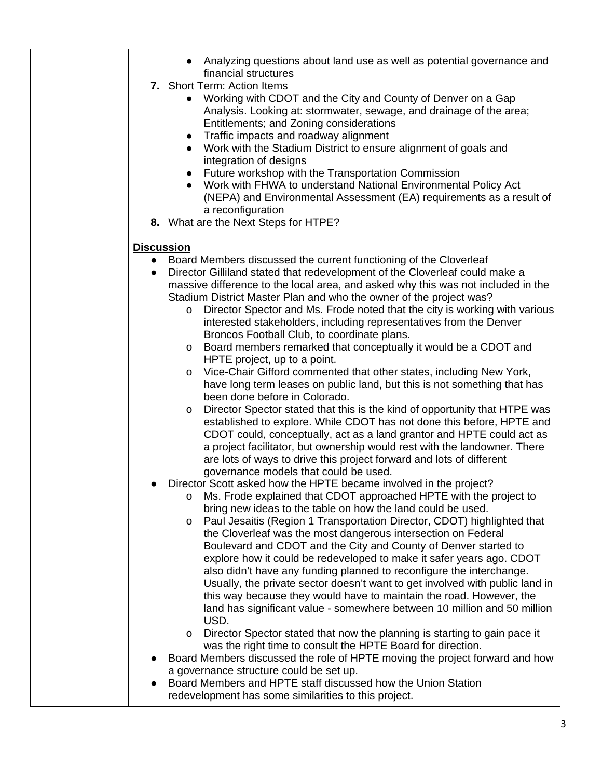|                   | • Analyzing questions about land use as well as potential governance and<br>financial structures                                                       |
|-------------------|--------------------------------------------------------------------------------------------------------------------------------------------------------|
|                   | 7. Short Term: Action Items                                                                                                                            |
|                   | Working with CDOT and the City and County of Denver on a Gap                                                                                           |
|                   | Analysis. Looking at: stormwater, sewage, and drainage of the area;                                                                                    |
|                   | Entitlements; and Zoning considerations                                                                                                                |
|                   | Traffic impacts and roadway alignment<br>$\bullet$                                                                                                     |
|                   | Work with the Stadium District to ensure alignment of goals and<br>$\bullet$                                                                           |
|                   | integration of designs                                                                                                                                 |
|                   | Future workshop with the Transportation Commission<br>$\bullet$                                                                                        |
|                   | Work with FHWA to understand National Environmental Policy Act                                                                                         |
|                   | (NEPA) and Environmental Assessment (EA) requirements as a result of<br>a reconfiguration                                                              |
|                   | 8. What are the Next Steps for HTPE?                                                                                                                   |
|                   |                                                                                                                                                        |
| <b>Discussion</b> |                                                                                                                                                        |
|                   | Board Members discussed the current functioning of the Cloverleaf                                                                                      |
|                   | Director Gilliland stated that redevelopment of the Cloverleaf could make a                                                                            |
|                   | massive difference to the local area, and asked why this was not included in the<br>Stadium District Master Plan and who the owner of the project was? |
|                   | Director Spector and Ms. Frode noted that the city is working with various<br>$\circ$                                                                  |
|                   | interested stakeholders, including representatives from the Denver                                                                                     |
|                   | Broncos Football Club, to coordinate plans.                                                                                                            |
|                   | Board members remarked that conceptually it would be a CDOT and<br>$\circ$                                                                             |
|                   | HPTE project, up to a point.                                                                                                                           |
|                   | Vice-Chair Gifford commented that other states, including New York,<br>O                                                                               |
|                   | have long term leases on public land, but this is not something that has                                                                               |
|                   | been done before in Colorado.                                                                                                                          |
|                   | Director Spector stated that this is the kind of opportunity that HTPE was<br>$\circ$                                                                  |
|                   | established to explore. While CDOT has not done this before, HPTE and<br>CDOT could, conceptually, act as a land grantor and HPTE could act as         |
|                   | a project facilitator, but ownership would rest with the landowner. There                                                                              |
|                   | are lots of ways to drive this project forward and lots of different                                                                                   |
|                   | governance models that could be used.                                                                                                                  |
|                   | Director Scott asked how the HPTE became involved in the project?                                                                                      |
|                   | Ms. Frode explained that CDOT approached HPTE with the project to<br>O                                                                                 |
|                   | bring new ideas to the table on how the land could be used.                                                                                            |
|                   | Paul Jesaitis (Region 1 Transportation Director, CDOT) highlighted that<br>O                                                                           |
|                   | the Cloverleaf was the most dangerous intersection on Federal                                                                                          |
|                   | Boulevard and CDOT and the City and County of Denver started to                                                                                        |
|                   | explore how it could be redeveloped to make it safer years ago. CDOT                                                                                   |
|                   | also didn't have any funding planned to reconfigure the interchange.                                                                                   |
|                   | Usually, the private sector doesn't want to get involved with public land in<br>this way because they would have to maintain the road. However, the    |
|                   | land has significant value - somewhere between 10 million and 50 million                                                                               |
|                   | USD.                                                                                                                                                   |
|                   | Director Spector stated that now the planning is starting to gain pace it<br>O                                                                         |
|                   | was the right time to consult the HPTE Board for direction.                                                                                            |
|                   | Board Members discussed the role of HPTE moving the project forward and how                                                                            |
|                   | a governance structure could be set up.                                                                                                                |
|                   | Board Members and HPTE staff discussed how the Union Station                                                                                           |
|                   | redevelopment has some similarities to this project.                                                                                                   |
|                   |                                                                                                                                                        |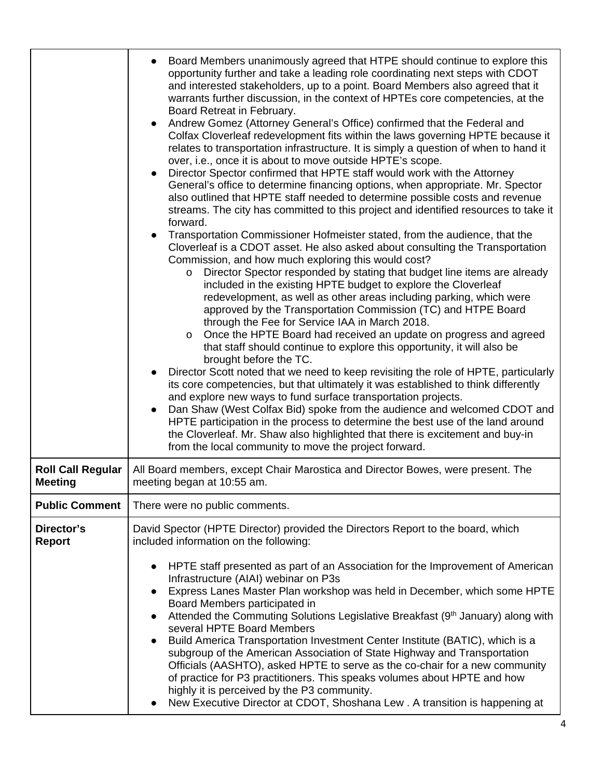|                                            | Board Members unanimously agreed that HTPE should continue to explore this<br>opportunity further and take a leading role coordinating next steps with CDOT<br>and interested stakeholders, up to a point. Board Members also agreed that it<br>warrants further discussion, in the context of HPTEs core competencies, at the<br>Board Retreat in February.<br>• Andrew Gomez (Attorney General's Office) confirmed that the Federal and<br>Colfax Cloverleaf redevelopment fits within the laws governing HPTE because it<br>relates to transportation infrastructure. It is simply a question of when to hand it<br>over, i.e., once it is about to move outside HPTE's scope.<br>Director Spector confirmed that HPTE staff would work with the Attorney<br>$\bullet$<br>General's office to determine financing options, when appropriate. Mr. Spector<br>also outlined that HPTE staff needed to determine possible costs and revenue<br>streams. The city has committed to this project and identified resources to take it<br>forward.<br>Transportation Commissioner Hofmeister stated, from the audience, that the<br>Cloverleaf is a CDOT asset. He also asked about consulting the Transportation<br>Commission, and how much exploring this would cost?<br>Director Spector responded by stating that budget line items are already<br>$\circ$<br>included in the existing HPTE budget to explore the Cloverleaf<br>redevelopment, as well as other areas including parking, which were<br>approved by the Transportation Commission (TC) and HTPE Board<br>through the Fee for Service IAA in March 2018.<br>Once the HPTE Board had received an update on progress and agreed<br>$\circ$<br>that staff should continue to explore this opportunity, it will also be<br>brought before the TC.<br>Director Scott noted that we need to keep revisiting the role of HPTE, particularly<br>its core competencies, but that ultimately it was established to think differently<br>and explore new ways to fund surface transportation projects.<br>Dan Shaw (West Colfax Bid) spoke from the audience and welcomed CDOT and<br>HPTE participation in the process to determine the best use of the land around<br>the Cloverleaf. Mr. Shaw also highlighted that there is excitement and buy-in<br>from the local community to move the project forward. |
|--------------------------------------------|--------------------------------------------------------------------------------------------------------------------------------------------------------------------------------------------------------------------------------------------------------------------------------------------------------------------------------------------------------------------------------------------------------------------------------------------------------------------------------------------------------------------------------------------------------------------------------------------------------------------------------------------------------------------------------------------------------------------------------------------------------------------------------------------------------------------------------------------------------------------------------------------------------------------------------------------------------------------------------------------------------------------------------------------------------------------------------------------------------------------------------------------------------------------------------------------------------------------------------------------------------------------------------------------------------------------------------------------------------------------------------------------------------------------------------------------------------------------------------------------------------------------------------------------------------------------------------------------------------------------------------------------------------------------------------------------------------------------------------------------------------------------------------------------------------------------------------------------------------------------------------------------------------------------------------------------------------------------------------------------------------------------------------------------------------------------------------------------------------------------------------------------------------------------------------------------------------------------------------------------------------------------------------------------------------------------------------------------------------------------|
| <b>Roll Call Regular</b><br><b>Meeting</b> | All Board members, except Chair Marostica and Director Bowes, were present. The<br>meeting began at 10:55 am.                                                                                                                                                                                                                                                                                                                                                                                                                                                                                                                                                                                                                                                                                                                                                                                                                                                                                                                                                                                                                                                                                                                                                                                                                                                                                                                                                                                                                                                                                                                                                                                                                                                                                                                                                                                                                                                                                                                                                                                                                                                                                                                                                                                                                                                      |
| <b>Public Comment</b>                      | There were no public comments.                                                                                                                                                                                                                                                                                                                                                                                                                                                                                                                                                                                                                                                                                                                                                                                                                                                                                                                                                                                                                                                                                                                                                                                                                                                                                                                                                                                                                                                                                                                                                                                                                                                                                                                                                                                                                                                                                                                                                                                                                                                                                                                                                                                                                                                                                                                                     |
| Director's<br><b>Report</b>                | David Spector (HPTE Director) provided the Directors Report to the board, which<br>included information on the following:<br>HPTE staff presented as part of an Association for the Improvement of American<br>$\bullet$<br>Infrastructure (AIAI) webinar on P3s<br>Express Lanes Master Plan workshop was held in December, which some HPTE<br>$\bullet$<br>Board Members participated in<br>Attended the Commuting Solutions Legislative Breakfast (9th January) along with<br>$\bullet$<br>several HPTE Board Members<br>Build America Transportation Investment Center Institute (BATIC), which is a<br>subgroup of the American Association of State Highway and Transportation<br>Officials (AASHTO), asked HPTE to serve as the co-chair for a new community<br>of practice for P3 practitioners. This speaks volumes about HPTE and how<br>highly it is perceived by the P3 community.<br>New Executive Director at CDOT, Shoshana Lew . A transition is happening at                                                                                                                                                                                                                                                                                                                                                                                                                                                                                                                                                                                                                                                                                                                                                                                                                                                                                                                                                                                                                                                                                                                                                                                                                                                                                                                                                                                      |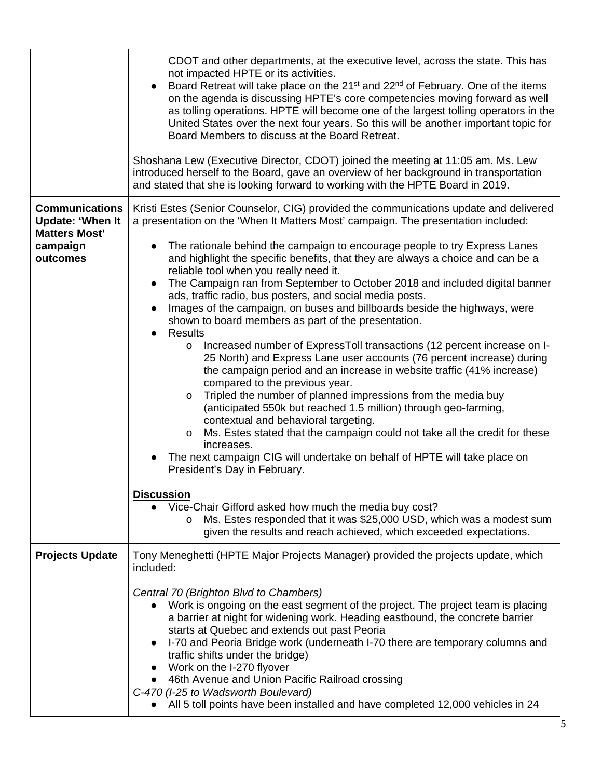|                                                                          | CDOT and other departments, at the executive level, across the state. This has<br>not impacted HPTE or its activities.<br>• Board Retreat will take place on the 21 <sup>st</sup> and 22 <sup>nd</sup> of February. One of the items<br>on the agenda is discussing HPTE's core competencies moving forward as well<br>as tolling operations. HPTE will become one of the largest tolling operators in the<br>United States over the next four years. So this will be another important topic for<br>Board Members to discuss at the Board Retreat.<br>Shoshana Lew (Executive Director, CDOT) joined the meeting at 11:05 am. Ms. Lew<br>introduced herself to the Board, gave an overview of her background in transportation<br>and stated that she is looking forward to working with the HPTE Board in 2019.                                                                                                                                                                                                                                                                                                                                                                                                                                                                                                                                                                                                                                       |
|--------------------------------------------------------------------------|---------------------------------------------------------------------------------------------------------------------------------------------------------------------------------------------------------------------------------------------------------------------------------------------------------------------------------------------------------------------------------------------------------------------------------------------------------------------------------------------------------------------------------------------------------------------------------------------------------------------------------------------------------------------------------------------------------------------------------------------------------------------------------------------------------------------------------------------------------------------------------------------------------------------------------------------------------------------------------------------------------------------------------------------------------------------------------------------------------------------------------------------------------------------------------------------------------------------------------------------------------------------------------------------------------------------------------------------------------------------------------------------------------------------------------------------------------|
| <b>Communications</b><br><b>Update: 'When It</b><br><b>Matters Most'</b> | Kristi Estes (Senior Counselor, CIG) provided the communications update and delivered<br>a presentation on the 'When It Matters Most' campaign. The presentation included:                                                                                                                                                                                                                                                                                                                                                                                                                                                                                                                                                                                                                                                                                                                                                                                                                                                                                                                                                                                                                                                                                                                                                                                                                                                                              |
| campaign<br>outcomes                                                     | The rationale behind the campaign to encourage people to try Express Lanes<br>and highlight the specific benefits, that they are always a choice and can be a<br>reliable tool when you really need it.<br>The Campaign ran from September to October 2018 and included digital banner<br>$\bullet$<br>ads, traffic radio, bus posters, and social media posts.<br>Images of the campaign, on buses and billboards beside the highways, were<br>$\bullet$<br>shown to board members as part of the presentation.<br>Results<br>$\bullet$<br>Increased number of ExpressToll transactions (12 percent increase on I-<br>$\circ$<br>25 North) and Express Lane user accounts (76 percent increase) during<br>the campaign period and an increase in website traffic (41% increase)<br>compared to the previous year.<br>Tripled the number of planned impressions from the media buy<br>$\circ$<br>(anticipated 550k but reached 1.5 million) through geo-farming,<br>contextual and behavioral targeting.<br>Ms. Estes stated that the campaign could not take all the credit for these<br>O<br>increases.<br>The next campaign CIG will undertake on behalf of HPTE will take place on<br>President's Day in February.<br><b>Discussion</b><br>Vice-Chair Gifford asked how much the media buy cost?<br>Ms. Estes responded that it was \$25,000 USD, which was a modest sum<br>O<br>given the results and reach achieved, which exceeded expectations. |
| <b>Projects Update</b>                                                   | Tony Meneghetti (HPTE Major Projects Manager) provided the projects update, which<br>included:                                                                                                                                                                                                                                                                                                                                                                                                                                                                                                                                                                                                                                                                                                                                                                                                                                                                                                                                                                                                                                                                                                                                                                                                                                                                                                                                                          |
|                                                                          | Central 70 (Brighton Blvd to Chambers)<br>• Work is ongoing on the east segment of the project. The project team is placing<br>a barrier at night for widening work. Heading eastbound, the concrete barrier<br>starts at Quebec and extends out past Peoria<br>I-70 and Peoria Bridge work (underneath I-70 there are temporary columns and<br>$\bullet$<br>traffic shifts under the bridge)<br>• Work on the I-270 flyover<br>• 46th Avenue and Union Pacific Railroad crossing<br>C-470 (I-25 to Wadsworth Boulevard)<br>All 5 toll points have been installed and have completed 12,000 vehicles in 24<br>$\bullet$                                                                                                                                                                                                                                                                                                                                                                                                                                                                                                                                                                                                                                                                                                                                                                                                                                 |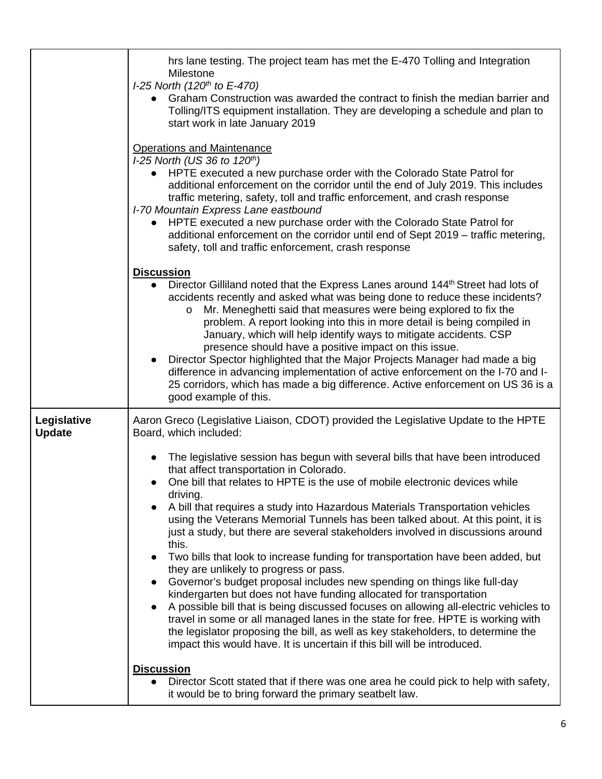|                              | hrs lane testing. The project team has met the E-470 Tolling and Integration<br>Milestone<br>I-25 North (120 <sup>th</sup> to E-470)<br>• Graham Construction was awarded the contract to finish the median barrier and<br>Tolling/ITS equipment installation. They are developing a schedule and plan to<br>start work in late January 2019                                                                                                                                                                                                                                                                                                                                                                                                                                                                                                                                                                                                                                                                                                                                                                                                                                                                                                                                                 |
|------------------------------|----------------------------------------------------------------------------------------------------------------------------------------------------------------------------------------------------------------------------------------------------------------------------------------------------------------------------------------------------------------------------------------------------------------------------------------------------------------------------------------------------------------------------------------------------------------------------------------------------------------------------------------------------------------------------------------------------------------------------------------------------------------------------------------------------------------------------------------------------------------------------------------------------------------------------------------------------------------------------------------------------------------------------------------------------------------------------------------------------------------------------------------------------------------------------------------------------------------------------------------------------------------------------------------------|
|                              | <b>Operations and Maintenance</b><br>I-25 North (US 36 to 120th)<br>HPTE executed a new purchase order with the Colorado State Patrol for<br>$\bullet$<br>additional enforcement on the corridor until the end of July 2019. This includes<br>traffic metering, safety, toll and traffic enforcement, and crash response<br>I-70 Mountain Express Lane eastbound<br>HPTE executed a new purchase order with the Colorado State Patrol for<br>additional enforcement on the corridor until end of Sept 2019 - traffic metering,<br>safety, toll and traffic enforcement, crash response                                                                                                                                                                                                                                                                                                                                                                                                                                                                                                                                                                                                                                                                                                       |
|                              | <b>Discussion</b><br>Director Gilliland noted that the Express Lanes around 144 <sup>th</sup> Street had lots of<br>accidents recently and asked what was being done to reduce these incidents?<br>Mr. Meneghetti said that measures were being explored to fix the<br>$\circ$<br>problem. A report looking into this in more detail is being compiled in<br>January, which will help identify ways to mitigate accidents. CSP<br>presence should have a positive impact on this issue.<br>Director Spector highlighted that the Major Projects Manager had made a big<br>difference in advancing implementation of active enforcement on the I-70 and I-<br>25 corridors, which has made a big difference. Active enforcement on US 36 is a<br>good example of this.                                                                                                                                                                                                                                                                                                                                                                                                                                                                                                                        |
| Legislative<br><b>Update</b> | Aaron Greco (Legislative Liaison, CDOT) provided the Legislative Update to the HPTE<br>Board, which included:<br>The legislative session has begun with several bills that have been introduced<br>that affect transportation in Colorado.<br>One bill that relates to HPTE is the use of mobile electronic devices while<br>driving.<br>A bill that requires a study into Hazardous Materials Transportation vehicles<br>$\bullet$<br>using the Veterans Memorial Tunnels has been talked about. At this point, it is<br>just a study, but there are several stakeholders involved in discussions around<br>this.<br>Two bills that look to increase funding for transportation have been added, but<br>$\bullet$<br>they are unlikely to progress or pass.<br>Governor's budget proposal includes new spending on things like full-day<br>$\bullet$<br>kindergarten but does not have funding allocated for transportation<br>A possible bill that is being discussed focuses on allowing all-electric vehicles to<br>travel in some or all managed lanes in the state for free. HPTE is working with<br>the legislator proposing the bill, as well as key stakeholders, to determine the<br>impact this would have. It is uncertain if this bill will be introduced.<br><b>Discussion</b> |
|                              | Director Scott stated that if there was one area he could pick to help with safety,<br>$\bullet$<br>it would be to bring forward the primary seatbelt law.                                                                                                                                                                                                                                                                                                                                                                                                                                                                                                                                                                                                                                                                                                                                                                                                                                                                                                                                                                                                                                                                                                                                   |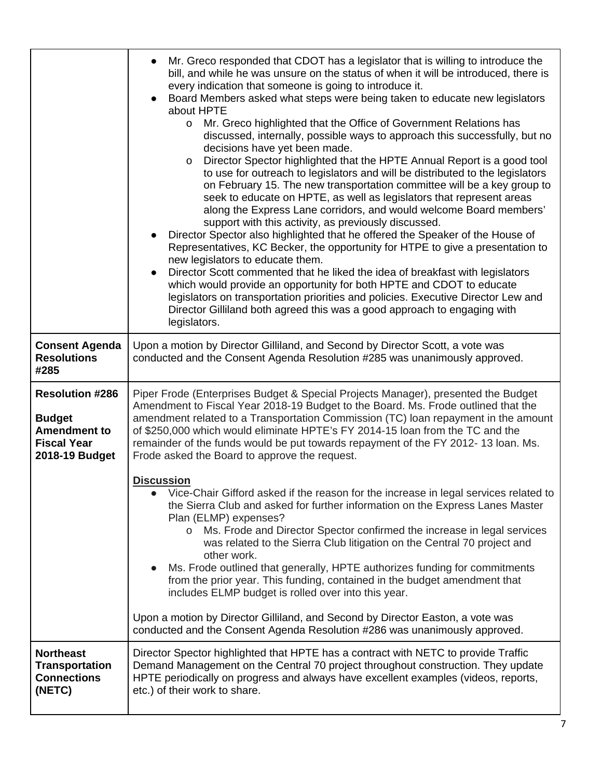|                                                                                                        | Mr. Greco responded that CDOT has a legislator that is willing to introduce the<br>$\bullet$<br>bill, and while he was unsure on the status of when it will be introduced, there is<br>every indication that someone is going to introduce it.<br>Board Members asked what steps were being taken to educate new legislators<br>about HPTE<br>Mr. Greco highlighted that the Office of Government Relations has<br>$\circ$<br>discussed, internally, possible ways to approach this successfully, but no<br>decisions have yet been made.<br>Director Spector highlighted that the HPTE Annual Report is a good tool<br>O<br>to use for outreach to legislators and will be distributed to the legislators<br>on February 15. The new transportation committee will be a key group to<br>seek to educate on HPTE, as well as legislators that represent areas<br>along the Express Lane corridors, and would welcome Board members'<br>support with this activity, as previously discussed.<br>Director Spector also highlighted that he offered the Speaker of the House of<br>Representatives, KC Becker, the opportunity for HTPE to give a presentation to<br>new legislators to educate them.<br>Director Scott commented that he liked the idea of breakfast with legislators<br>which would provide an opportunity for both HPTE and CDOT to educate<br>legislators on transportation priorities and policies. Executive Director Lew and<br>Director Gilliland both agreed this was a good approach to engaging with<br>legislators. |
|--------------------------------------------------------------------------------------------------------|----------------------------------------------------------------------------------------------------------------------------------------------------------------------------------------------------------------------------------------------------------------------------------------------------------------------------------------------------------------------------------------------------------------------------------------------------------------------------------------------------------------------------------------------------------------------------------------------------------------------------------------------------------------------------------------------------------------------------------------------------------------------------------------------------------------------------------------------------------------------------------------------------------------------------------------------------------------------------------------------------------------------------------------------------------------------------------------------------------------------------------------------------------------------------------------------------------------------------------------------------------------------------------------------------------------------------------------------------------------------------------------------------------------------------------------------------------------------------------------------------------------------------------------------|
| <b>Consent Agenda</b><br><b>Resolutions</b><br>#285                                                    | Upon a motion by Director Gilliland, and Second by Director Scott, a vote was<br>conducted and the Consent Agenda Resolution #285 was unanimously approved.                                                                                                                                                                                                                                                                                                                                                                                                                                                                                                                                                                                                                                                                                                                                                                                                                                                                                                                                                                                                                                                                                                                                                                                                                                                                                                                                                                                  |
| <b>Resolution #286</b><br><b>Budget</b><br><b>Amendment to</b><br><b>Fiscal Year</b><br>2018-19 Budget | Piper Frode (Enterprises Budget & Special Projects Manager), presented the Budget<br>Amendment to Fiscal Year 2018-19 Budget to the Board. Ms. Frode outlined that the<br>amendment related to a Transportation Commission (TC) loan repayment in the amount<br>of \$250,000 which would eliminate HPTE's FY 2014-15 loan from the TC and the<br>remainder of the funds would be put towards repayment of the FY 2012-13 loan. Ms.<br>Frode asked the Board to approve the request.                                                                                                                                                                                                                                                                                                                                                                                                                                                                                                                                                                                                                                                                                                                                                                                                                                                                                                                                                                                                                                                          |
|                                                                                                        | <b>Discussion</b><br>Vice-Chair Gifford asked if the reason for the increase in legal services related to<br>$\bullet$<br>the Sierra Club and asked for further information on the Express Lanes Master<br>Plan (ELMP) expenses?<br>Ms. Frode and Director Spector confirmed the increase in legal services<br>$\circ$<br>was related to the Sierra Club litigation on the Central 70 project and<br>other work.<br>Ms. Frode outlined that generally, HPTE authorizes funding for commitments<br>from the prior year. This funding, contained in the budget amendment that<br>includes ELMP budget is rolled over into this year.<br>Upon a motion by Director Gilliland, and Second by Director Easton, a vote was<br>conducted and the Consent Agenda Resolution #286 was unanimously approved.                                                                                                                                                                                                                                                                                                                                                                                                                                                                                                                                                                                                                                                                                                                                           |
| <b>Northeast</b><br><b>Transportation</b><br><b>Connections</b><br>(NETC)                              | Director Spector highlighted that HPTE has a contract with NETC to provide Traffic<br>Demand Management on the Central 70 project throughout construction. They update<br>HPTE periodically on progress and always have excellent examples (videos, reports,<br>etc.) of their work to share.                                                                                                                                                                                                                                                                                                                                                                                                                                                                                                                                                                                                                                                                                                                                                                                                                                                                                                                                                                                                                                                                                                                                                                                                                                                |